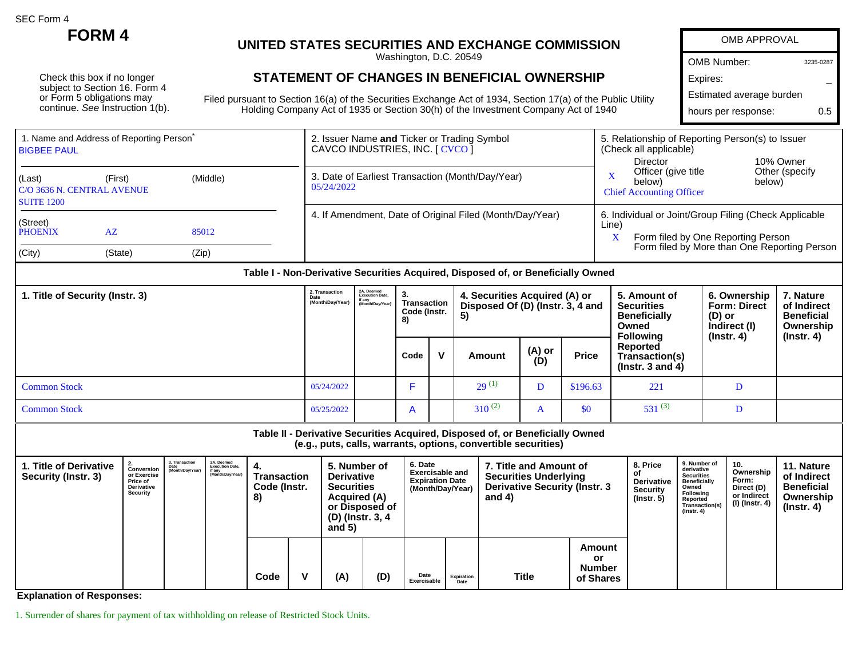SEC Form 4

Check this box if no longer subject to Section 16. Form 4 or Form 5 obligations may continue. See Instruction 1(b).

## **FORM 4 UNITED STATES SECURITIES AND EXCHANGE COMMISSION**

Washington, D.C. 20549

## **STATEMENT OF CHANGES IN BENEFICIAL OWNERSHIP**

Filed pursuant to Section 16(a) of the Securities Exchange Act of 1934, Section 17(a) of the Public Utility Holding Company Act of 1935 or Section 30(h) of the Investment Company Act of 1940

| <b>OMB APPROVAL</b>      |           |
|--------------------------|-----------|
| <b>OMB Number:</b>       | 3235-0287 |
| Expires:                 |           |
| Estimated average burden |           |
| hours per response:      | ი 5       |

| 1. Name and Address of Reporting Person <sup>®</sup><br><b>IBIGBEE PAUL</b> |                                                                  |       | 2. Issuer Name and Ticker or Trading Symbol<br>CAVCO INDUSTRIES, INC. [ CVCO ]   | 5. Relationship of Reporting Person(s) to Issuer<br>(Check all applicable)<br>10% Owner<br><b>Director</b> |  |  |  |
|-----------------------------------------------------------------------------|------------------------------------------------------------------|-------|----------------------------------------------------------------------------------|------------------------------------------------------------------------------------------------------------|--|--|--|
| (Last)<br><b>SUITE 1200</b>                                                 | (Middle)<br>(First)<br>C/O 3636 N. CENTRAL AVENUE<br>AZ<br>85012 |       | 3. Date of Earliest Transaction (Month/Day/Year)<br>05/24/2022                   | Other (specify)<br>Officer (give title<br>X<br>below)<br>below)<br><b>Chief Accounting Officer</b>         |  |  |  |
| (Street)<br><b>PHOENIX</b>                                                  |                                                                  |       | 4. If Amendment, Date of Original Filed (Month/Day/Year)                         | 6. Individual or Joint/Group Filing (Check Applicable<br>Line)<br>Form filed by One Reporting Person<br>X  |  |  |  |
| (City)                                                                      | (State)                                                          | (Zip) | Table I - Non-Derivative Securities Acquired, Disposed of, or Beneficially Owned | Form filed by More than One Reporting Person                                                               |  |  |  |

| 1. Title of Security (Instr. 3) |            | 2A. Deemed<br>Execution Date,<br>if any<br>(Month/Day/Year)<br>(Month/Day/Year) | З.<br>Transaction<br>Code (Instr.<br>8) |              | 4. Securities Acquired (A) or<br>Disposed Of (D) (Instr. 3, 4 and<br>5) |               |              | 5. Amount of<br><b>Securities</b><br><b>Beneficially</b><br>Owned<br><b>Following</b> | 6. Ownership<br><b>Form: Direct</b><br>(D) or<br>Indirect (I)<br>$($ lnstr. 4 $)$ | 7. Nature<br>of Indirect<br><b>Beneficial</b><br>Ownership<br>(Instr. 4) |
|---------------------------------|------------|---------------------------------------------------------------------------------|-----------------------------------------|--------------|-------------------------------------------------------------------------|---------------|--------------|---------------------------------------------------------------------------------------|-----------------------------------------------------------------------------------|--------------------------------------------------------------------------|
|                                 |            |                                                                                 | Code                                    | $\mathbf{v}$ | Amount                                                                  | (A) or<br>(D) | <b>Price</b> | Reported<br>Transaction(s)<br>( $Instr. 3 and 4$ )                                    |                                                                                   |                                                                          |
| <b>Common Stock</b>             | 05/24/2022 |                                                                                 |                                         |              | $29^{(1)}$                                                              | D             | \$196.63     | 221                                                                                   |                                                                                   |                                                                          |
| <b>Common Stock</b>             | 05/25/2022 |                                                                                 | $\mathsf{A}$                            |              | $310^{(2)}$                                                             | A             | \$0          | $531^{(3)}$                                                                           |                                                                                   |                                                                          |

**Table II - Derivative Securities Acquired, Disposed of, or Beneficially Owned (e.g., puts, calls, warrants, options, convertible securities) 1. Title of Derivative Security (Instr. 3) 2. Conversion or Exercise Price of Derivative Security 3. Transaction Date (Month/Day/Year) 3A. Deemed Execution Date, if any (Month/Day/Year) 4. Transaction Code (Instr. 8) 5. Number of Derivative Securities Acquired (A) or Disposed of (D) (Instr. 3, 4 and 5) 6. Date Exercisable and Expiration Date (Month/Day/Year) 7. Title and Amount of Securities Underlying Derivative Security (Instr. 3 and 4) 8. Price of Derivative Security (Instr. 5) 9. Number of derivative Securities Beneficially Owned Following Reported Transaction(s) (Instr. 4) 10. Ownership Form: Direct (D) or Indirect (I) (Instr. 4) 11. Nature of Indirect Beneficial Ownership (Instr. 4) Code V (A) (D) Date Exercisable Expiration Date Title Amount or Number of Shares**

**Explanation of Responses:**

1. Surrender of shares for payment of tax withholding on release of Restricted Stock Units.